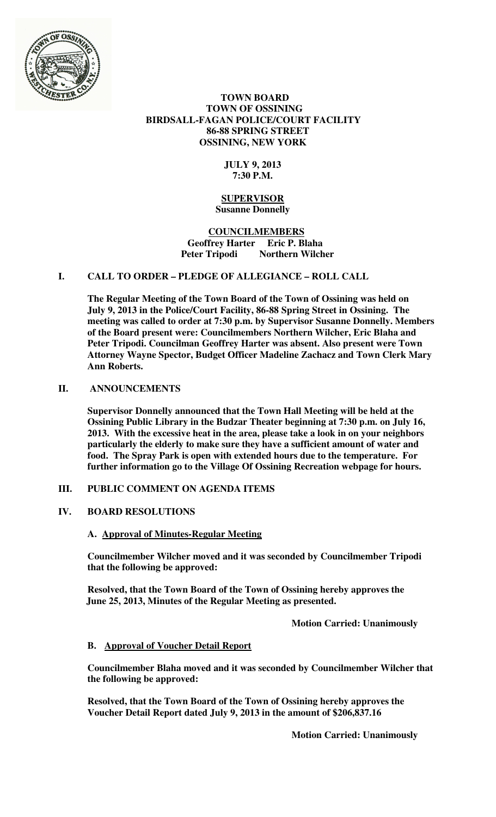

### **TOWN BOARD TOWN OF OSSINING BIRDSALL-FAGAN POLICE/COURT FACILITY 86-88 SPRING STREET OSSINING, NEW YORK**

## **JULY 9, 2013 7:30 P.M.**

#### **SUPERVISOR Susanne Donnelly**

### **COUNCILMEMBERS Geoffrey Harter Eric P. Blaha**  Peter Tripodi Northern Wilcher

# **I. CALL TO ORDER – PLEDGE OF ALLEGIANCE – ROLL CALL**

**The Regular Meeting of the Town Board of the Town of Ossining was held on July 9, 2013 in the Police/Court Facility, 86-88 Spring Street in Ossining. The meeting was called to order at 7:30 p.m. by Supervisor Susanne Donnelly. Members of the Board present were: Councilmembers Northern Wilcher, Eric Blaha and Peter Tripodi. Councilman Geoffrey Harter was absent. Also present were Town Attorney Wayne Spector, Budget Officer Madeline Zachacz and Town Clerk Mary Ann Roberts.** 

### **II. ANNOUNCEMENTS**

**Supervisor Donnelly announced that the Town Hall Meeting will be held at the Ossining Public Library in the Budzar Theater beginning at 7:30 p.m. on July 16, 2013. With the excessive heat in the area, please take a look in on your neighbors particularly the elderly to make sure they have a sufficient amount of water and food. The Spray Park is open with extended hours due to the temperature. For further information go to the Village Of Ossining Recreation webpage for hours.** 

### **III. PUBLIC COMMENT ON AGENDA ITEMS**

### **IV. BOARD RESOLUTIONS**

### **A. Approval of Minutes-Regular Meeting**

**Councilmember Wilcher moved and it was seconded by Councilmember Tripodi that the following be approved:** 

**Resolved, that the Town Board of the Town of Ossining hereby approves the June 25, 2013, Minutes of the Regular Meeting as presented.** 

 **Motion Carried: Unanimously** 

### **B. Approval of Voucher Detail Report**

**Councilmember Blaha moved and it was seconded by Councilmember Wilcher that the following be approved:** 

**Resolved, that the Town Board of the Town of Ossining hereby approves the Voucher Detail Report dated July 9, 2013 in the amount of \$206,837.16** 

 **Motion Carried: Unanimously**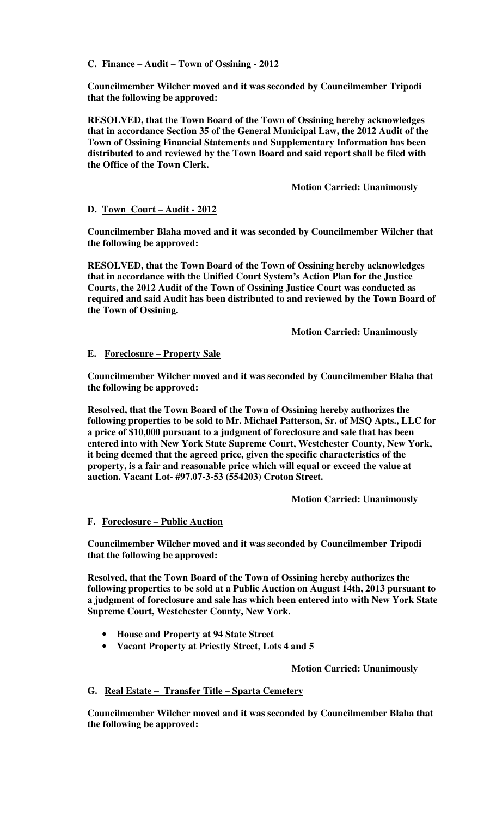**C. Finance – Audit – Town of Ossining - 2012** 

**Councilmember Wilcher moved and it was seconded by Councilmember Tripodi that the following be approved:** 

**RESOLVED, that the Town Board of the Town of Ossining hereby acknowledges that in accordance Section 35 of the General Municipal Law, the 2012 Audit of the Town of Ossining Financial Statements and Supplementary Information has been distributed to and reviewed by the Town Board and said report shall be filed with the Office of the Town Clerk.** 

 **Motion Carried: Unanimously** 

## **D. Town Court – Audit - 2012**

**Councilmember Blaha moved and it was seconded by Councilmember Wilcher that the following be approved:** 

**RESOLVED, that the Town Board of the Town of Ossining hereby acknowledges that in accordance with the Unified Court System's Action Plan for the Justice Courts, the 2012 Audit of the Town of Ossining Justice Court was conducted as required and said Audit has been distributed to and reviewed by the Town Board of the Town of Ossining.**

 **Motion Carried: Unanimously** 

## **E. Foreclosure – Property Sale**

**Councilmember Wilcher moved and it was seconded by Councilmember Blaha that the following be approved:** 

**Resolved, that the Town Board of the Town of Ossining hereby authorizes the following properties to be sold to Mr. Michael Patterson, Sr. of MSQ Apts., LLC for a price of \$10,000 pursuant to a judgment of foreclosure and sale that has been entered into with New York State Supreme Court, Westchester County, New York, it being deemed that the agreed price, given the specific characteristics of the property, is a fair and reasonable price which will equal or exceed the value at auction. Vacant Lot- #97.07-3-53 (554203) Croton Street.** 

 **Motion Carried: Unanimously** 

# **F. Foreclosure – Public Auction**

**Councilmember Wilcher moved and it was seconded by Councilmember Tripodi that the following be approved:** 

**Resolved, that the Town Board of the Town of Ossining hereby authorizes the following properties to be sold at a Public Auction on August 14th, 2013 pursuant to a judgment of foreclosure and sale has which been entered into with New York State Supreme Court, Westchester County, New York.** 

- **House and Property at 94 State Street**
- **Vacant Property at Priestly Street, Lots 4 and 5**

**Motion Carried: Unanimously** 

### **G. Real Estate – Transfer Title – Sparta Cemetery**

**Councilmember Wilcher moved and it was seconded by Councilmember Blaha that the following be approved:**